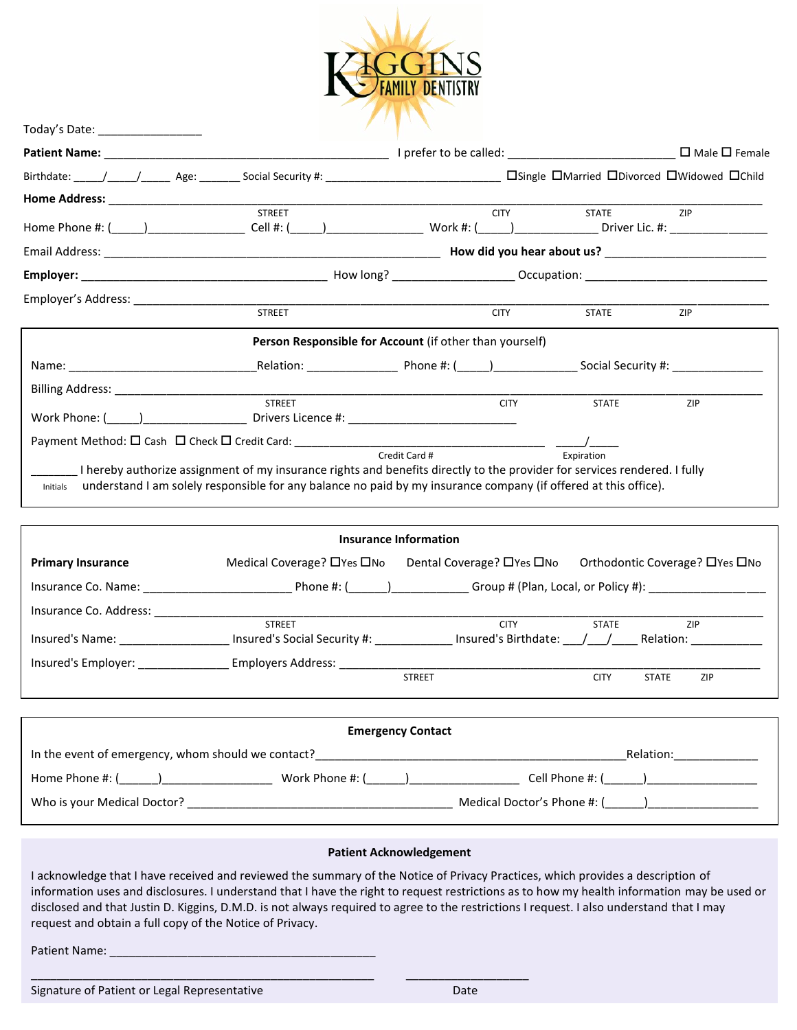

|          | <b>STREET</b>                                                                                                                                                                                                                                | <b>CITY</b>                                             | <b>STATE</b> | ZIP |
|----------|----------------------------------------------------------------------------------------------------------------------------------------------------------------------------------------------------------------------------------------------|---------------------------------------------------------|--------------|-----|
|          |                                                                                                                                                                                                                                              |                                                         |              |     |
|          |                                                                                                                                                                                                                                              |                                                         |              |     |
|          | <b>STREET</b>                                                                                                                                                                                                                                | <b>CITY</b>                                             | <b>STATE</b> | ZIP |
|          |                                                                                                                                                                                                                                              | Person Responsible for Account (if other than yourself) |              |     |
|          |                                                                                                                                                                                                                                              |                                                         |              |     |
|          |                                                                                                                                                                                                                                              |                                                         |              |     |
|          | <b>STREET</b>                                                                                                                                                                                                                                | <b>CITY</b>                                             | <b>STATE</b> | ZIP |
|          |                                                                                                                                                                                                                                              |                                                         |              |     |
| Initials | I hereby authorize assignment of my insurance rights and benefits directly to the provider for services rendered. I fully<br>understand I am solely responsible for any balance no paid by my insurance company (if offered at this office). | Credit Card #                                           | Expiration   |     |

| Insurance Information    |                                        |                             |              |                                     |  |  |  |  |  |
|--------------------------|----------------------------------------|-----------------------------|--------------|-------------------------------------|--|--|--|--|--|
| <b>Primary Insurance</b> | Medical Coverage? $\Box$ Yes $\Box$ No | Dental Coverage? □ Yes □ No |              | Orthodontic Coverage? □ Yes □ No    |  |  |  |  |  |
| Insurance Co. Name:      | Phone $\#$ : ( )                       |                             |              | Group # (Plan, Local, or Policy #): |  |  |  |  |  |
| Insurance Co. Address:   |                                        |                             |              |                                     |  |  |  |  |  |
|                          | <b>STREET</b>                          | <b>CITY</b>                 | <b>STATE</b> | <b>ZIP</b>                          |  |  |  |  |  |
| Insured's Name:          | Insured's Social Security #:           | Insured's Birthdate: / /    |              | Relation:                           |  |  |  |  |  |
| Insured's Employer:      | Employers Address:                     |                             |              |                                     |  |  |  |  |  |
|                          |                                        | <b>STREET</b>               | <b>CITY</b>  | <b>STATE</b><br>ZIP                 |  |  |  |  |  |
|                          |                                        |                             |              |                                     |  |  |  |  |  |

| <b>Emergency Contact</b>                           |                 |                             |  |  |  |  |  |  |
|----------------------------------------------------|-----------------|-----------------------------|--|--|--|--|--|--|
| In the event of emergency, whom should we contact? |                 | Relation:                   |  |  |  |  |  |  |
| Home Phone #: ( )                                  | Work Phone #: ( | Cell Phone #: (    )        |  |  |  |  |  |  |
| Who is your Medical Doctor?                        |                 | Medical Doctor's Phone #: ( |  |  |  |  |  |  |

### **Patient Acknowledgement**

I acknowledge that I have received and reviewed the summary of the Notice of Privacy Practices, which provides a description of information uses and disclosures. I understand that I have the right to request restrictions as to how my health information may be used or disclosed and that Justin D. Kiggins, D.M.D. is not always required to agree to the restrictions I request. I also understand that I may request and obtain a full copy of the Notice of Privacy.

Patient Name:

Today's Date: \_\_\_\_\_\_\_\_\_\_\_\_\_\_\_\_

Signature of Patient or Legal Representative Date Date Date

 $\_$  , and the set of the set of the set of the set of the set of the set of the set of the set of the set of the set of the set of the set of the set of the set of the set of the set of the set of the set of the set of th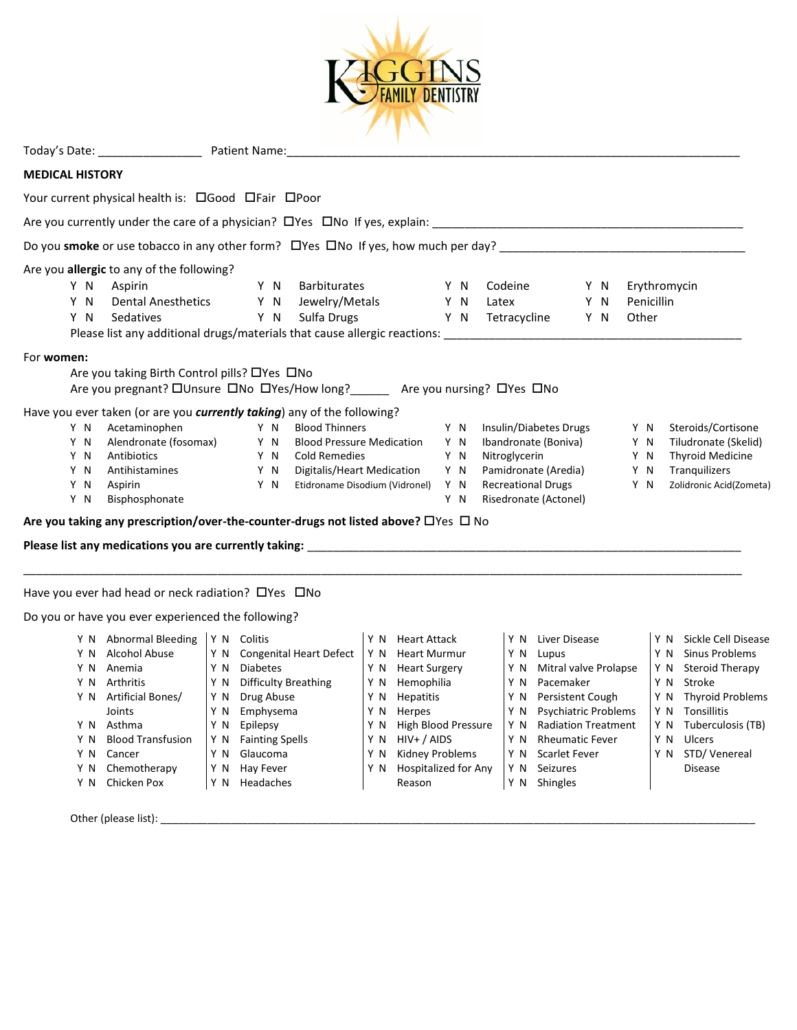

| Todav | -<br>55 <sup>2</sup><br>৲ Ddlt. | : Name:<br>Patient |
|-------|---------------------------------|--------------------|
|       |                                 |                    |

# **MEDICAL HISTORY**

Your current physical health is: Cood CFair CPoor

Are you currently under the care of a physician? Yes No If yes, explain: \_\_\_\_\_\_\_\_\_\_\_\_\_\_\_\_\_\_\_\_\_\_\_\_\_\_\_\_\_\_\_\_\_\_\_\_\_\_\_\_\_\_\_\_\_\_\_\_

Do you **smoke** or use tobacco in any other form? Yes No If yes, how much per day? \_\_\_\_\_\_\_\_\_\_\_\_\_\_\_\_\_\_\_\_\_\_\_\_\_\_\_\_\_\_\_\_\_\_\_\_\_\_

Are you **allergic** to any of the following?

| Y N | Aspirin                   | YN. | Barbiturates                                                              | Y N | Codeine      |  | Y N Erythromycin |
|-----|---------------------------|-----|---------------------------------------------------------------------------|-----|--------------|--|------------------|
| Y N | <b>Dental Anesthetics</b> |     | Y N Jewelry/Metals                                                        | Y N | Latex        |  | Y N Penicillin   |
| Y N | Sedatives                 |     | Y N Sulfa Drugs                                                           | Y N | Tetracycline |  | Y N Other        |
|     |                           |     | Please list any additional drugs/materials that cause allergic reactions: |     |              |  |                  |

## For **women:**

| For <b>women:</b> |     |                                                                         |     |                                                                                               |     |                                       |     |                         |
|-------------------|-----|-------------------------------------------------------------------------|-----|-----------------------------------------------------------------------------------------------|-----|---------------------------------------|-----|-------------------------|
|                   |     | Are you taking Birth Control pills? $\Box$ Yes $\Box$ No                |     |                                                                                               |     |                                       |     |                         |
|                   |     | Are you pregnant? □Unsure □No □Yes/How long?                            |     |                                                                                               |     | Are you nursing? $\Box$ Yes $\Box$ No |     |                         |
|                   |     | Have you ever taken (or are you currently taking) any of the following? |     |                                                                                               |     |                                       |     |                         |
|                   | Y N | Acetaminophen                                                           | Y N | <b>Blood Thinners</b>                                                                         | Y N | Insulin/Diabetes Drugs                | Y N | Steroids/Cortisone      |
|                   | Y N | Alendronate (fosomax)                                                   | Y N | <b>Blood Pressure Medication</b>                                                              | Y N | Ibandronate (Boniva)                  | Y N | Tiludronate (Skelid)    |
|                   | Y N | Antibiotics                                                             | Y N | Cold Remedies                                                                                 | Y N | Nitroglycerin                         | Y N | <b>Thyroid Medicine</b> |
|                   | Y N | Antihistamines                                                          | Y N | Digitalis/Heart Medication                                                                    | Y N | Pamidronate (Aredia)                  | Y N | <b>Tranguilizers</b>    |
|                   | Y N | Aspirin                                                                 | Y N | Etidroname Disodium (Vidronel)                                                                | Y N | <b>Recreational Drugs</b>             | Y N | Zolidronic Acid(Zometa) |
|                   | Y N | Bisphosphonate                                                          |     |                                                                                               | N   | Risedronate (Actonel)                 |     |                         |
|                   |     |                                                                         |     | Are you taking any prescription/over-the-counter-drugs not listed above? $\Box$ Yes $\Box$ No |     |                                       |     |                         |
|                   |     | Please list any medications you are currently taking:                   |     |                                                                                               |     |                                       |     |                         |

\_\_\_\_\_\_\_\_\_\_\_\_\_\_\_\_\_\_\_\_\_\_\_\_\_\_\_\_\_\_\_\_\_\_\_\_\_\_\_\_\_\_\_\_\_\_\_\_\_\_\_\_\_\_\_\_\_\_\_\_\_\_\_\_\_\_\_\_\_\_\_\_\_\_\_\_\_\_\_\_\_\_\_\_\_\_\_\_\_\_\_\_\_\_\_\_\_\_\_\_\_\_\_\_\_\_\_\_\_\_\_

Have you ever had head or neck radiation?  $\Box$  Yes  $\Box$  No

Do you or have you ever experienced the following?

| YN  | <b>Abnormal Bleeding</b> | YN. | Colitis                        | YN. | <b>Heart Attack</b>    | Y N | Liver Disease               | Y N | Sickle Cell Disease     |
|-----|--------------------------|-----|--------------------------------|-----|------------------------|-----|-----------------------------|-----|-------------------------|
| Y N | Alcohol Abuse            | Y N | <b>Congenital Heart Defect</b> | Y N | <b>Heart Murmur</b>    | Y N | Lupus                       | Y N | Sinus Problems          |
| Y N | Anemia                   | Y N | <b>Diabetes</b>                | ΥN  | <b>Heart Surgery</b>   | Y N | Mitral valve Prolapse       | Y N | Steroid Therapy         |
| Y N | Arthritis                | Y N | <b>Difficulty Breathing</b>    | Y N | Hemophilia             | Y N | Pacemaker                   | Y N | Stroke                  |
| Y N | Artificial Bones/        | Y N | Drug Abuse                     | Y N | <b>Hepatitis</b>       | Y N | Persistent Cough            | Y N | <b>Thyroid Problems</b> |
|     | Joints                   | ΥN  | Emphysema                      | ΥN  | Herpes                 | Y N | <b>Psychiatric Problems</b> | Y N | Tonsillitis             |
| Y N | Asthma                   | ΥN  | Epilepsy                       | ΥN  | High Blood Pressure    | Y N | <b>Radiation Treatment</b>  | Y N | Tuberculosis (TB)       |
| Y N | <b>Blood Transfusion</b> | Y N | <b>Fainting Spells</b>         | ΥN  | $HIV+ / AIDS$          | Y N | <b>Rheumatic Fever</b>      | Y N | Ulcers                  |
| Y N | Cancer                   | Y N | Glaucoma                       | ΥN  | <b>Kidney Problems</b> | Y N | Scarlet Fever               | Y N | STD/Venereal            |
| Y N | Chemotherapy             | Y N | Hay Fever                      | ΥN  | Hospitalized for Any   | Y N | <b>Seizures</b>             |     | <b>Disease</b>          |
| Y N | Chicken Pox              | Y N | Headaches                      |     | Reason                 | ΥN  | <b>Shingles</b>             |     |                         |
|     |                          |     |                                |     |                        |     |                             |     |                         |

Other (please list): \_\_\_\_\_\_\_\_\_\_\_\_\_\_\_\_\_\_\_\_\_\_\_\_\_\_\_\_\_\_\_\_\_\_\_\_\_\_\_\_\_\_\_\_\_\_\_\_\_\_\_\_\_\_\_\_\_\_\_\_\_\_\_\_\_\_\_\_\_\_\_\_\_\_\_\_\_\_\_\_\_\_\_\_\_\_\_\_\_\_\_\_\_\_\_\_\_\_\_\_\_\_